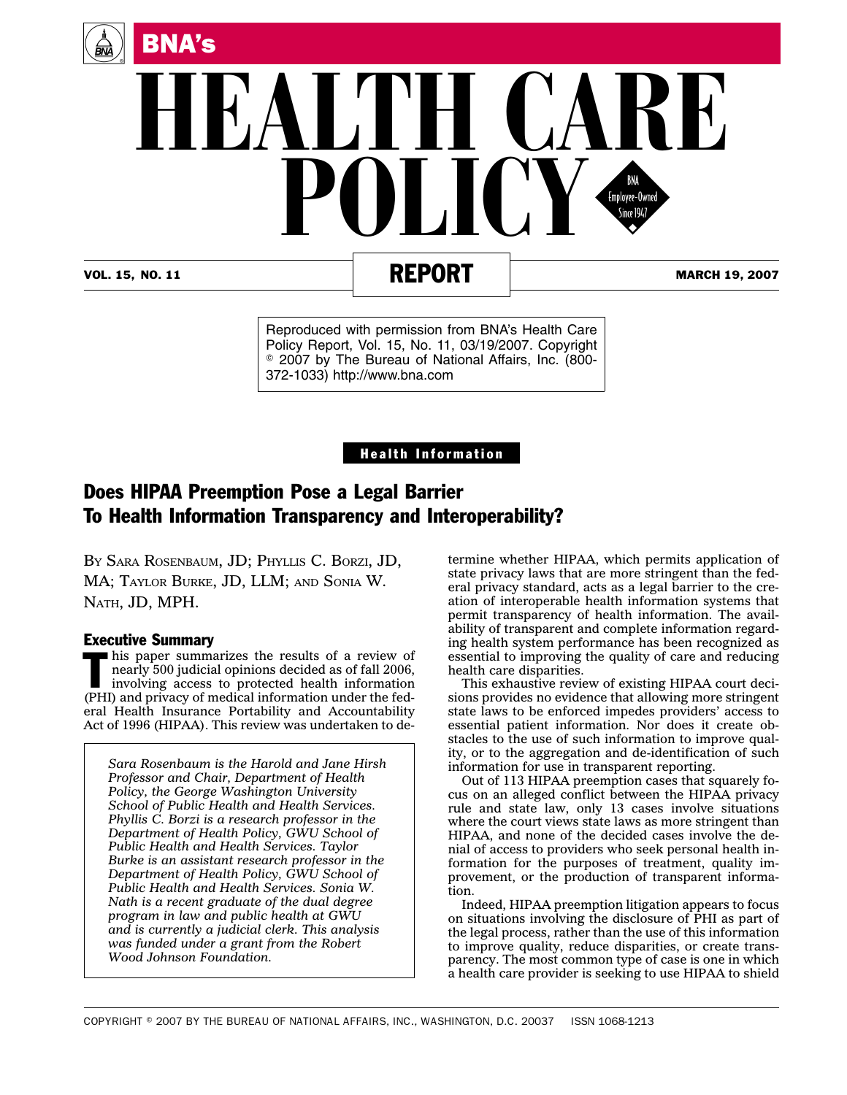

VOL. 15, NO. 11 **REPORT REPORT** 

Reproduced with permission from BNA's Health Care Policy Report, Vol. 15, No. 11, 03/19/2007. Copyright 2007 by The Bureau of National Affairs, Inc. (800- 372-1033) http://www.bna.com

Health Information

# Does HIPAA Preemption Pose a Legal Barrier To Health Information Transparency and Interoperability?

BY SARA ROSENBAUM, JD; PHYLLIS C. BORZI, JD, MA; TAYLOR BURKE, JD, LLM; AND SONIA W. NATH, JD, MPH.

# Executive Summary

his paper summarizes the results of a review of<br>nearly 500 judicial opinions decided as of fall 2006,<br>involving access to protected health information nearly 500 judicial opinions decided as of fall 2006, (PHI) and privacy of medical information under the federal Health Insurance Portability and Accountability Act of 1996 (HIPAA). This review was undertaken to de-

*Sara Rosenbaum is the Harold and Jane Hirsh Professor and Chair, Department of Health Policy, the George Washington University School of Public Health and Health Services. Phyllis C. Borzi is a research professor in the Department of Health Policy, GWU School of Public Health and Health Services. Taylor Burke is an assistant research professor in the Department of Health Policy, GWU School of Public Health and Health Services. Sonia W. Nath is a recent graduate of the dual degree program in law and public health at GWU and is currently a judicial clerk. This analysis was funded under a grant from the Robert Wood Johnson Foundation.*

termine whether HIPAA, which permits application of state privacy laws that are more stringent than the federal privacy standard, acts as a legal barrier to the creation of interoperable health information systems that permit transparency of health information. The availability of transparent and complete information regarding health system performance has been recognized as essential to improving the quality of care and reducing health care disparities.

This exhaustive review of existing HIPAA court decisions provides no evidence that allowing more stringent state laws to be enforced impedes providers' access to essential patient information. Nor does it create obstacles to the use of such information to improve quality, or to the aggregation and de-identification of such information for use in transparent reporting.

Out of 113 HIPAA preemption cases that squarely focus on an alleged conflict between the HIPAA privacy rule and state law, only 13 cases involve situations where the court views state laws as more stringent than HIPAA, and none of the decided cases involve the denial of access to providers who seek personal health information for the purposes of treatment, quality improvement, or the production of transparent information.

Indeed, HIPAA preemption litigation appears to focus on situations involving the disclosure of PHI as part of the legal process, rather than the use of this information to improve quality, reduce disparities, or create transparency. The most common type of case is one in which a health care provider is seeking to use HIPAA to shield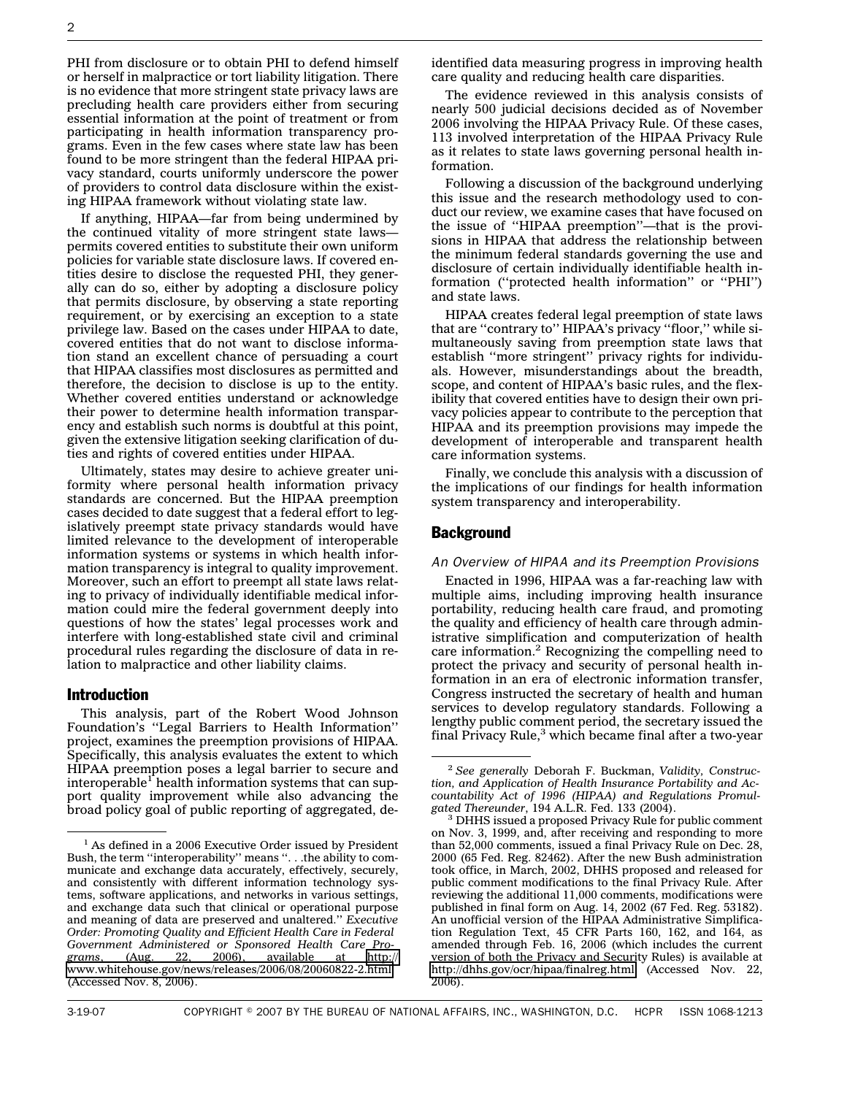PHI from disclosure or to obtain PHI to defend himself or herself in malpractice or tort liability litigation. There is no evidence that more stringent state privacy laws are precluding health care providers either from securing essential information at the point of treatment or from participating in health information transparency programs. Even in the few cases where state law has been found to be more stringent than the federal HIPAA privacy standard, courts uniformly underscore the power of providers to control data disclosure within the existing HIPAA framework without violating state law.

If anything, HIPAA—far from being undermined by the continued vitality of more stringent state laws permits covered entities to substitute their own uniform policies for variable state disclosure laws. If covered entities desire to disclose the requested PHI, they generally can do so, either by adopting a disclosure policy that permits disclosure, by observing a state reporting requirement, or by exercising an exception to a state privilege law. Based on the cases under HIPAA to date, covered entities that do not want to disclose information stand an excellent chance of persuading a court that HIPAA classifies most disclosures as permitted and therefore, the decision to disclose is up to the entity. Whether covered entities understand or acknowledge their power to determine health information transparency and establish such norms is doubtful at this point, given the extensive litigation seeking clarification of duties and rights of covered entities under HIPAA.

Ultimately, states may desire to achieve greater uniformity where personal health information privacy standards are concerned. But the HIPAA preemption cases decided to date suggest that a federal effort to legislatively preempt state privacy standards would have limited relevance to the development of interoperable information systems or systems in which health information transparency is integral to quality improvement. Moreover, such an effort to preempt all state laws relating to privacy of individually identifiable medical information could mire the federal government deeply into questions of how the states' legal processes work and interfere with long-established state civil and criminal procedural rules regarding the disclosure of data in relation to malpractice and other liability claims.

#### Introduction

This analysis, part of the Robert Wood Johnson Foundation's ''Legal Barriers to Health Information'' project, examines the preemption provisions of HIPAA. Specifically, this analysis evaluates the extent to which HIPAA preemption poses a legal barrier to secure and  $interoperable<sup>1</sup>$  health information systems that can support quality improvement while also advancing the broad policy goal of public reporting of aggregated, deidentified data measuring progress in improving health care quality and reducing health care disparities.

The evidence reviewed in this analysis consists of nearly 500 judicial decisions decided as of November 2006 involving the HIPAA Privacy Rule. Of these cases, 113 involved interpretation of the HIPAA Privacy Rule as it relates to state laws governing personal health information.

Following a discussion of the background underlying this issue and the research methodology used to conduct our review, we examine cases that have focused on the issue of ''HIPAA preemption''—that is the provisions in HIPAA that address the relationship between the minimum federal standards governing the use and disclosure of certain individually identifiable health information (''protected health information'' or ''PHI'') and state laws.

HIPAA creates federal legal preemption of state laws that are ''contrary to'' HIPAA's privacy ''floor,'' while simultaneously saving from preemption state laws that establish ''more stringent'' privacy rights for individuals. However, misunderstandings about the breadth, scope, and content of HIPAA's basic rules, and the flexibility that covered entities have to design their own privacy policies appear to contribute to the perception that HIPAA and its preemption provisions may impede the development of interoperable and transparent health care information systems.

Finally, we conclude this analysis with a discussion of the implications of our findings for health information system transparency and interoperability.

## **Background**

*An Overview of HIPAA and its Preemption Provisions*

Enacted in 1996, HIPAA was a far-reaching law with multiple aims, including improving health insurance portability, reducing health care fraud, and promoting the quality and efficiency of health care through administrative simplification and computerization of health care information.<sup>2</sup> Recognizing the compelling need to protect the privacy and security of personal health information in an era of electronic information transfer, Congress instructed the secretary of health and human services to develop regulatory standards. Following a lengthy public comment period, the secretary issued the final Privacy Rule, $3$  which became final after a two-year

 $<sup>1</sup>$  As defined in a 2006 Executive Order issued by President</sup> Bush, the term "interoperability" means ". . .the ability to communicate and exchange data accurately, effectively, securely, and consistently with different information technology systems, software applications, and networks in various settings, and exchange data such that clinical or operational purpose and meaning of data are preserved and unaltered.'' *Executive Order: Promoting Quality and Efficient Health Care in Federal Government Administered or Sponsored Health Care Programs*, (Aug. 22, 2006), available at [www.whitehouse.gov/news/releases/2006/08/20060822-2.html](http://www.whitehouse.gov/news/releases/2006/08/20060822-2.html) (Accessed Nov. 8, 2006).

<sup>2</sup> *See generally* Deborah F. Buckman, *Validity, Construction, and Application of Health Insurance Portability and Accountability Act of 1996 (HIPAA) and Regulations Promulgated Thereunder*, 194 A.L.R. Fed. 133 (2004). <sup>3</sup> DHHS issued a proposed Privacy Rule for public comment

on Nov. 3, 1999, and, after receiving and responding to more than 52,000 comments, issued a final Privacy Rule on Dec. 28, 2000 (65 Fed. Reg. 82462). After the new Bush administration took office, in March, 2002, DHHS proposed and released for public comment modifications to the final Privacy Rule. After reviewing the additional 11,000 comments, modifications were published in final form on Aug. 14, 2002 (67 Fed. Reg. 53182). An unofficial version of the HIPAA Administrative Simplification Regulation Text, 45 CFR Parts 160, 162, and 164, as amended through Feb. 16, 2006 (which includes the current version of both the Privacy and Security Rules) is available at <http://dhhs.gov/ocr/hipaa/finalreg.html> (Accessed Nov. 22, 2006).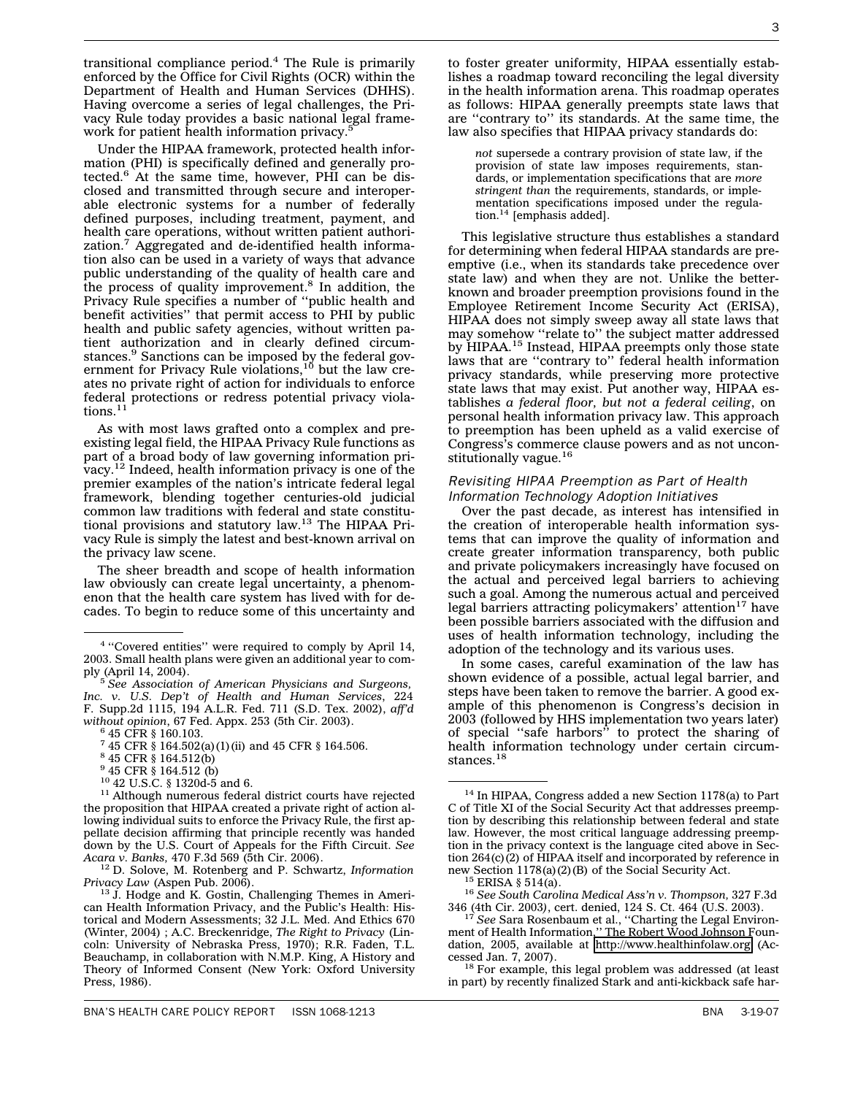transitional compliance period.4 The Rule is primarily enforced by the Office for Civil Rights (OCR) within the Department of Health and Human Services (DHHS). Having overcome a series of legal challenges, the Privacy Rule today provides a basic national legal framework for patient health information privacy.<sup>5</sup>

Under the HIPAA framework, protected health information (PHI) is specifically defined and generally protected.<sup>6</sup> At the same time, however, PHI can be disclosed and transmitted through secure and interoperable electronic systems for a number of federally defined purposes, including treatment, payment, and health care operations, without written patient authorization.7 Aggregated and de-identified health information also can be used in a variety of ways that advance public understanding of the quality of health care and the process of quality improvement.8 In addition, the Privacy Rule specifies a number of ''public health and benefit activities'' that permit access to PHI by public health and public safety agencies, without written patient authorization and in clearly defined circumstances.<sup>9</sup> Sanctions can be imposed by the federal government for Privacy Rule violations,  $10^6$  but the law creates no private right of action for individuals to enforce federal protections or redress potential privacy violations.<sup>11</sup>

As with most laws grafted onto a complex and preexisting legal field, the HIPAA Privacy Rule functions as part of a broad body of law governing information privacy.12 Indeed, health information privacy is one of the premier examples of the nation's intricate federal legal framework, blending together centuries-old judicial common law traditions with federal and state constitutional provisions and statutory law.<sup>13</sup> The HIPAA Privacy Rule is simply the latest and best-known arrival on the privacy law scene.

The sheer breadth and scope of health information law obviously can create legal uncertainty, a phenomenon that the health care system has lived with for decades. To begin to reduce some of this uncertainty and

<sup>12</sup> D. Solove, M. Rotenberg and P. Schwartz, *Information* 

3

to foster greater uniformity, HIPAA essentially establishes a roadmap toward reconciling the legal diversity in the health information arena. This roadmap operates as follows: HIPAA generally preempts state laws that are ''contrary to'' its standards. At the same time, the law also specifies that HIPAA privacy standards do:

*not* supersede a contrary provision of state law, if the provision of state law imposes requirements, standards, or implementation specifications that are *more stringent than* the requirements, standards, or implementation specifications imposed under the regulation.<sup>14</sup> [emphasis added].

This legislative structure thus establishes a standard for determining when federal HIPAA standards are preemptive (i.e., when its standards take precedence over state law) and when they are not. Unlike the betterknown and broader preemption provisions found in the Employee Retirement Income Security Act (ERISA), HIPAA does not simply sweep away all state laws that may somehow ''relate to'' the subject matter addressed by HIPAA.<sup>15</sup> Instead, HIPAA preempts only those state laws that are ''contrary to'' federal health information privacy standards, while preserving more protective state laws that may exist. Put another way, HIPAA establishes *a federal floor, but not a federal ceiling*, on personal health information privacy law. This approach to preemption has been upheld as a valid exercise of Congress's commerce clause powers and as not unconstitutionally vague.<sup>16</sup>

#### *Revisiting HIPAA Preemption as Part of Health Information Technology Adoption Initiatives*

Over the past decade, as interest has intensified in the creation of interoperable health information systems that can improve the quality of information and create greater information transparency, both public and private policymakers increasingly have focused on the actual and perceived legal barriers to achieving such a goal. Among the numerous actual and perceived legal barriers attracting policymakers' attention<sup>17</sup> have been possible barriers associated with the diffusion and uses of health information technology, including the adoption of the technology and its various uses.

In some cases, careful examination of the law has shown evidence of a possible, actual legal barrier, and steps have been taken to remove the barrier. A good example of this phenomenon is Congress's decision in 2003 (followed by HHS implementation two years later) of special ''safe harbors'' to protect the sharing of health information technology under certain circumstances.<sup>18</sup>

<sup>4</sup> ''Covered entities'' were required to comply by April 14, 2003. Small health plans were given an additional year to com-<br>ply (April 14, 2004).<br> $\frac{5 \text{ } \text{Seq}}{2}$  Association of American Physicians and Guerrence

ply (April 14, 2004). <sup>5</sup> *See Association of American Physicians and Surgeons, Inc. v. U.S. Dep't of Health and Human Services*, 224 F. Supp.2d 1115, 194 A.L.R. Fed. 711 (S.D. Tex. 2002), *aff'd*

<sup>&</sup>lt;sup>6</sup> 45 CFR § 160.103.<br>
<sup>7</sup> 45 CFR § 164.502(a)(1)(ii) and 45 CFR § 164.506.<br>
<sup>8</sup> 45 CFR § 164.512(b)<br>
<sup>9</sup> 45 CFR § 164.512 (b)<br>
<sup>10</sup> 42 U.S.C. § 1320d-5 and 6.<br>
<sup>11</sup> Although numerous federal district courts have rejected the proposition that HIPAA created a private right of action allowing individual suits to enforce the Privacy Rule, the first appellate decision affirming that principle recently was handed down by the U.S. Court of Appeals for the Fifth Circuit. *See Acara v. Banks*, 470 F.3d 569 (5th Cir. 2006).

*Privacy Law* (Aspen Pub. 2006). <sup>13</sup> J. Hodge and K. Gostin, Challenging Themes in American Health Information Privacy, and the Public's Health: Historical and Modern Assessments; 32 J.L. Med. And Ethics 670 (Winter, 2004) ; A.C. Breckenridge, *The Right to Privacy* (Lincoln: University of Nebraska Press, 1970); R.R. Faden, T.L. Beauchamp, in collaboration with N.M.P. King, A History and Theory of Informed Consent (New York: Oxford University Press, 1986).

 $14$  In HIPAA, Congress added a new Section 1178(a) to Part C of Title XI of the Social Security Act that addresses preemption by describing this relationship between federal and state law. However, the most critical language addressing preemption in the privacy context is the language cited above in Section 264(c)(2) of HIPAA itself and incorporated by reference in new Section 1178(a)(2)(B) of the Social Security Act.<br><sup>15</sup> ERISA § 514(a).<br><sup>16</sup> *See South Carolina Medical Ass'n v. Thompson,* 327 F.3d

<sup>346 (4</sup>th Cir. 2003*)*, cert. denied, 124 S. Ct. 464 (U.S. 2003). <sup>17</sup> *See* Sara Rosenbaum et al., ''Charting the Legal Environment of Health Information,'' The Robert Wood Johnson Foundation, 2005, available at<http://www.healthinfolaw.org> (Ac-

cessed Jan. 7, 2007).  $18 \text{ For example, this legal problem was addressed (at least } \frac{18}{3}$ in part) by recently finalized Stark and anti-kickback safe har-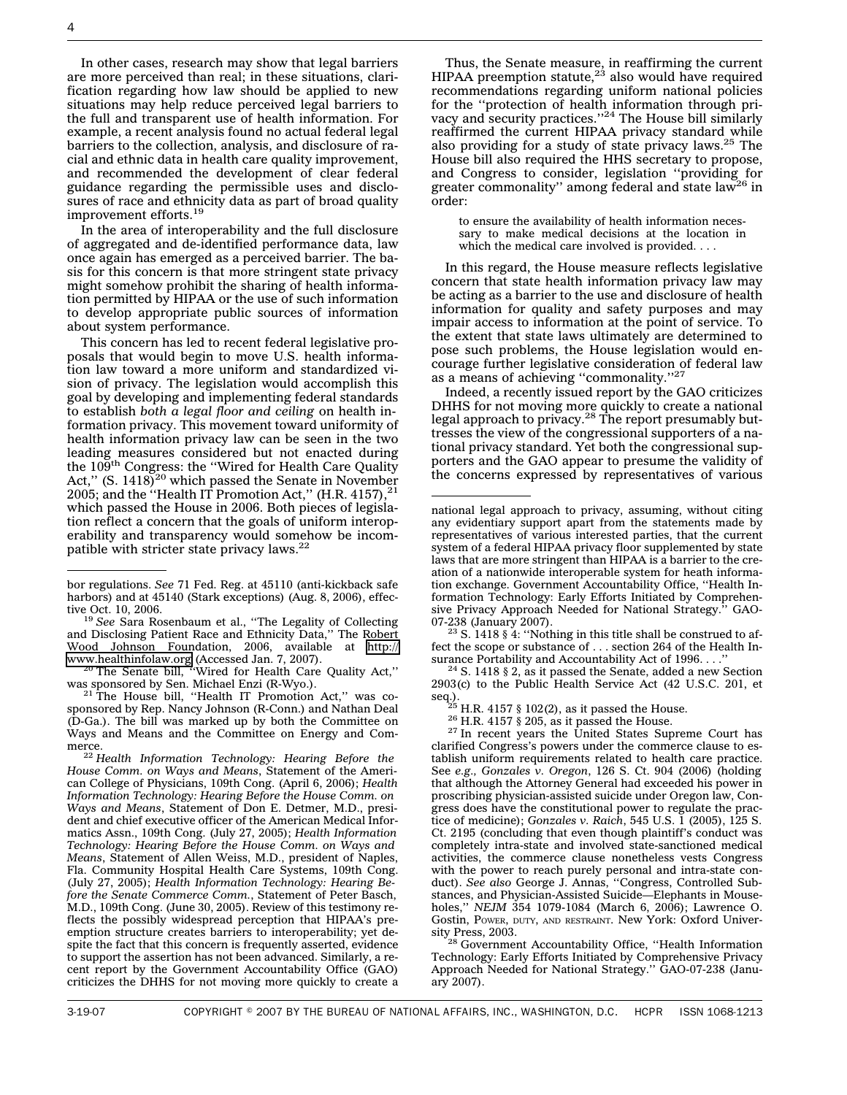In other cases, research may show that legal barriers are more perceived than real; in these situations, clarification regarding how law should be applied to new situations may help reduce perceived legal barriers to the full and transparent use of health information. For example, a recent analysis found no actual federal legal barriers to the collection, analysis, and disclosure of racial and ethnic data in health care quality improvement, and recommended the development of clear federal guidance regarding the permissible uses and disclosures of race and ethnicity data as part of broad quality improvement efforts.19

In the area of interoperability and the full disclosure of aggregated and de-identified performance data, law once again has emerged as a perceived barrier. The basis for this concern is that more stringent state privacy might somehow prohibit the sharing of health information permitted by HIPAA or the use of such information to develop appropriate public sources of information about system performance.

This concern has led to recent federal legislative proposals that would begin to move U.S. health information law toward a more uniform and standardized vision of privacy. The legislation would accomplish this goal by developing and implementing federal standards to establish *both a legal floor and ceiling* on health information privacy. This movement toward uniformity of health information privacy law can be seen in the two leading measures considered but not enacted during the  $10\overline{9}$ <sup>th</sup> Congress: the "Wired for Health Care Quality" Act,"  $(S. 1418)^{20}$  which passed the Senate in November 2005; and the "Health IT Promotion Act," (H.R. 4157),  $21$ which passed the House in 2006. Both pieces of legislation reflect a concern that the goals of uniform interoperability and transparency would somehow be incompatible with stricter state privacy laws.<sup>22</sup>

was sponsored by Sen. Michael Enzi (R-Wyo.).<br><sup>21</sup> The House bill, "Health IT Promotion Act," was co-

sponsored by Rep. Nancy Johnson (R-Conn.) and Nathan Deal (D-Ga.). The bill was marked up by both the Committee on Ways and Means and the Committee on Energy and Com-

merce. <sup>22</sup> *Health Information Technology: Hearing Before the House Comm. on Ways and Means*, Statement of the American College of Physicians, 109th Cong. (April 6, 2006); *Health Information Technology: Hearing Before the House Comm. on Ways and Means*, Statement of Don E. Detmer, M.D., president and chief executive officer of the American Medical Informatics Assn., 109th Cong. (July 27, 2005); *Health Information Technology: Hearing Before the House Comm. on Ways and Means*, Statement of Allen Weiss, M.D., president of Naples, Fla. Community Hospital Health Care Systems, 109th Cong. (July 27, 2005); *Health Information Technology: Hearing Before the Senate Commerce Comm.*, Statement of Peter Basch, M.D., 109th Cong. (June 30, 2005). Review of this testimony reflects the possibly widespread perception that HIPAA's preemption structure creates barriers to interoperability; yet despite the fact that this concern is frequently asserted, evidence to support the assertion has not been advanced. Similarly, a recent report by the Government Accountability Office (GAO) criticizes the DHHS for not moving more quickly to create a

Thus, the Senate measure, in reaffirming the current<br>HIPAA preemption statute,<sup>23</sup> also would have required recommendations regarding uniform national policies for the ''protection of health information through privacy and security practices."<sup>24</sup> The House bill similarly reaffirmed the current HIPAA privacy standard while also providing for a study of state privacy laws. $25$  The House bill also required the HHS secretary to propose, and Congress to consider, legislation ''providing for greater commonality" among federal and state law<sup>26</sup> in order:

to ensure the availability of health information necessary to make medical decisions at the location in which the medical care involved is provided....

In this regard, the House measure reflects legislative concern that state health information privacy law may be acting as a barrier to the use and disclosure of health information for quality and safety purposes and may impair access to information at the point of service. To the extent that state laws ultimately are determined to pose such problems, the House legislation would encourage further legislative consideration of federal law as a means of achieving "commonality."<sup>27</sup>

Indeed, a recently issued report by the GAO criticizes DHHS for not moving more quickly to create a national legal approach to privacy.<sup>28</sup> The report presumably buttresses the view of the congressional supporters of a national privacy standard. Yet both the congressional supporters and the GAO appear to presume the validity of the concerns expressed by representatives of various

clarified Congress's powers under the commerce clause to establish uniform requirements related to health care practice. See *e.g., Gonzales v. Oregon*, 126 S. Ct. 904 (2006) (holding that although the Attorney General had exceeded his power in proscribing physician-assisted suicide under Oregon law, Congress does have the constitutional power to regulate the practice of medicine); *Gonzales v. Raich*, 545 U.S. 1 (2005), 125 S. Ct. 2195 (concluding that even though plaintiff's conduct was completely intra-state and involved state-sanctioned medical activities, the commerce clause nonetheless vests Congress with the power to reach purely personal and intra-state conduct). *See also* George J. Annas, ''Congress, Controlled Substances, and Physician-Assisted Suicide—Elephants in Mouseholes,'' *NEJM* 354 1079-1084 (March 6, 2006); Lawrence O. Gostin, POWER, DUTY, AND RESTRAINT. New York: Oxford University Press, 2003. <sup>28</sup> Government Accountability Office, ''Health Information

Technology: Early Efforts Initiated by Comprehensive Privacy Approach Needed for National Strategy.'' GAO-07-238 (January 2007).

bor regulations. *See* 71 Fed. Reg. at 45110 (anti-kickback safe harbors) and at 45140 (Stark exceptions) (Aug. 8, 2006), effec-

tive Oct. 10, 2006. <sup>19</sup> *See* Sara Rosenbaum et al., ''The Legality of Collecting and Disclosing Patient Race and Ethnicity Data,'' The Robert Wood Johnson Foundation, 2006, available at [http://](http://www.healthinfolaw.org) [www.healthinfolaw.org](http://www.healthinfolaw.org) (Accessed Jan. 7, 2007).<br><sup>20</sup> The Senate bill, ''Wired for Health Care Quality Act,''

national legal approach to privacy, assuming, without citing any evidentiary support apart from the statements made by representatives of various interested parties, that the current system of a federal HIPAA privacy floor supplemented by state laws that are more stringent than HIPAA is a barrier to the creation of a nationwide interoperable system for heath information exchange. Government Accountability Office, ''Health Information Technology: Early Efforts Initiated by Comprehensive Privacy Approach Needed for National Strategy.'' GAO-07-238 (January 2007).<br><sup>23</sup> S. 1418 § 4: "Nothing in this title shall be construed to af-

fect the scope or substance of . . . section 264 of the Health Insurance Portability and Accountability Act of 1996. . . ."

 $24$  S. 1418 § 2, as it passed the Senate, added a new Section 2903(c) to the Public Health Service Act (42 U.S.C. 201, et seq.).<br><sup>25</sup> H.R. 4157 § 102(2), as it passed the House.<br><sup>26</sup> H.R. 4157 § 205, as it passed the House.<br><sup>27</sup> In recent years the United States Supreme Court has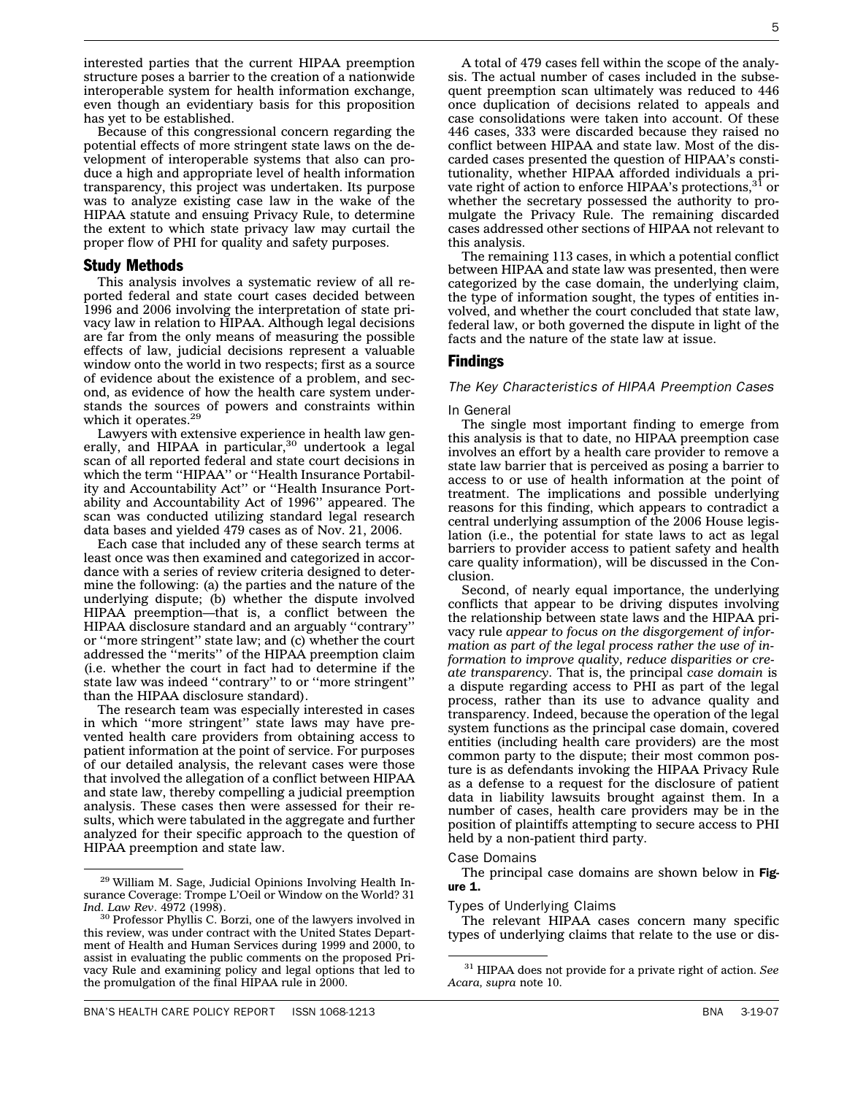interested parties that the current HIPAA preemption structure poses a barrier to the creation of a nationwide interoperable system for health information exchange, even though an evidentiary basis for this proposition has yet to be established.

Because of this congressional concern regarding the potential effects of more stringent state laws on the development of interoperable systems that also can produce a high and appropriate level of health information transparency, this project was undertaken. Its purpose was to analyze existing case law in the wake of the HIPAA statute and ensuing Privacy Rule, to determine the extent to which state privacy law may curtail the proper flow of PHI for quality and safety purposes.

## Study Methods

This analysis involves a systematic review of all reported federal and state court cases decided between 1996 and 2006 involving the interpretation of state privacy law in relation to HIPAA. Although legal decisions are far from the only means of measuring the possible effects of law, judicial decisions represent a valuable window onto the world in two respects; first as a source of evidence about the existence of a problem, and second, as evidence of how the health care system understands the sources of powers and constraints within which it operates.<sup>29</sup>

Lawyers with extensive experience in health law generally, and HIPAA in particular,<sup>30</sup> undertook a legal scan of all reported federal and state court decisions in which the term "HIPAA" or "Health Insurance Portability and Accountability Act'' or ''Health Insurance Portability and Accountability Act of 1996'' appeared. The scan was conducted utilizing standard legal research data bases and yielded 479 cases as of Nov. 21, 2006.

Each case that included any of these search terms at least once was then examined and categorized in accordance with a series of review criteria designed to determine the following: (a) the parties and the nature of the underlying dispute; (b) whether the dispute involved HIPAA preemption—that is, a conflict between the HIPAA disclosure standard and an arguably ''contrary'' or ''more stringent'' state law; and (c) whether the court addressed the ''merits'' of the HIPAA preemption claim (i.e. whether the court in fact had to determine if the state law was indeed ''contrary'' to or ''more stringent'' than the HIPAA disclosure standard).

The research team was especially interested in cases in which ''more stringent'' state laws may have prevented health care providers from obtaining access to patient information at the point of service. For purposes of our detailed analysis, the relevant cases were those that involved the allegation of a conflict between HIPAA and state law, thereby compelling a judicial preemption analysis. These cases then were assessed for their results, which were tabulated in the aggregate and further analyzed for their specific approach to the question of HIPAA preemption and state law.

A total of 479 cases fell within the scope of the analysis. The actual number of cases included in the subsequent preemption scan ultimately was reduced to 446 once duplication of decisions related to appeals and case consolidations were taken into account. Of these 446 cases, 333 were discarded because they raised no conflict between HIPAA and state law. Most of the discarded cases presented the question of HIPAA's constitutionality, whether HIPAA afforded individuals a private right of action to enforce HIPAA's protections, $31$  or whether the secretary possessed the authority to promulgate the Privacy Rule. The remaining discarded cases addressed other sections of HIPAA not relevant to this analysis.

The remaining 113 cases, in which a potential conflict between HIPAA and state law was presented, then were categorized by the case domain, the underlying claim, the type of information sought, the types of entities involved, and whether the court concluded that state law, federal law, or both governed the dispute in light of the facts and the nature of the state law at issue.

## Findings

#### *The Key Characteristics of HIPAA Preemption Cases*

In General

The single most important finding to emerge from this analysis is that to date, no HIPAA preemption case involves an effort by a health care provider to remove a state law barrier that is perceived as posing a barrier to access to or use of health information at the point of treatment. The implications and possible underlying reasons for this finding, which appears to contradict a central underlying assumption of the 2006 House legislation (i.e., the potential for state laws to act as legal barriers to provider access to patient safety and health care quality information), will be discussed in the Conclusion.

Second, of nearly equal importance, the underlying conflicts that appear to be driving disputes involving the relationship between state laws and the HIPAA privacy rule *appear to focus on the disgorgement of information as part of the legal process rather the use of information to improve quality, reduce disparities or create transparency.* That is, the principal *case domain* is a dispute regarding access to PHI as part of the legal process, rather than its use to advance quality and transparency. Indeed, because the operation of the legal system functions as the principal case domain, covered entities (including health care providers) are the most common party to the dispute; their most common posture is as defendants invoking the HIPAA Privacy Rule as a defense to a request for the disclosure of patient data in liability lawsuits brought against them. In a number of cases, health care providers may be in the position of plaintiffs attempting to secure access to PHI held by a non-patient third party.

#### Case Domains

The principal case domains are shown below in Figure 1.

#### Types of Underlying Claims

The relevant HIPAA cases concern many specific types of underlying claims that relate to the use or dis-

<sup>29</sup> William M. Sage, Judicial Opinions Involving Health Insurance Coverage: Trompe L'Oeil or Window on the World? 31 *Ind. Law Rev*. 4972 (1998). <sup>30</sup> Professor Phyllis C. Borzi, one of the lawyers involved in

this review, was under contract with the United States Department of Health and Human Services during 1999 and 2000, to assist in evaluating the public comments on the proposed Privacy Rule and examining policy and legal options that led to the promulgation of the final HIPAA rule in 2000.

<sup>31</sup> HIPAA does not provide for a private right of action. *See Acara, supra* note 10.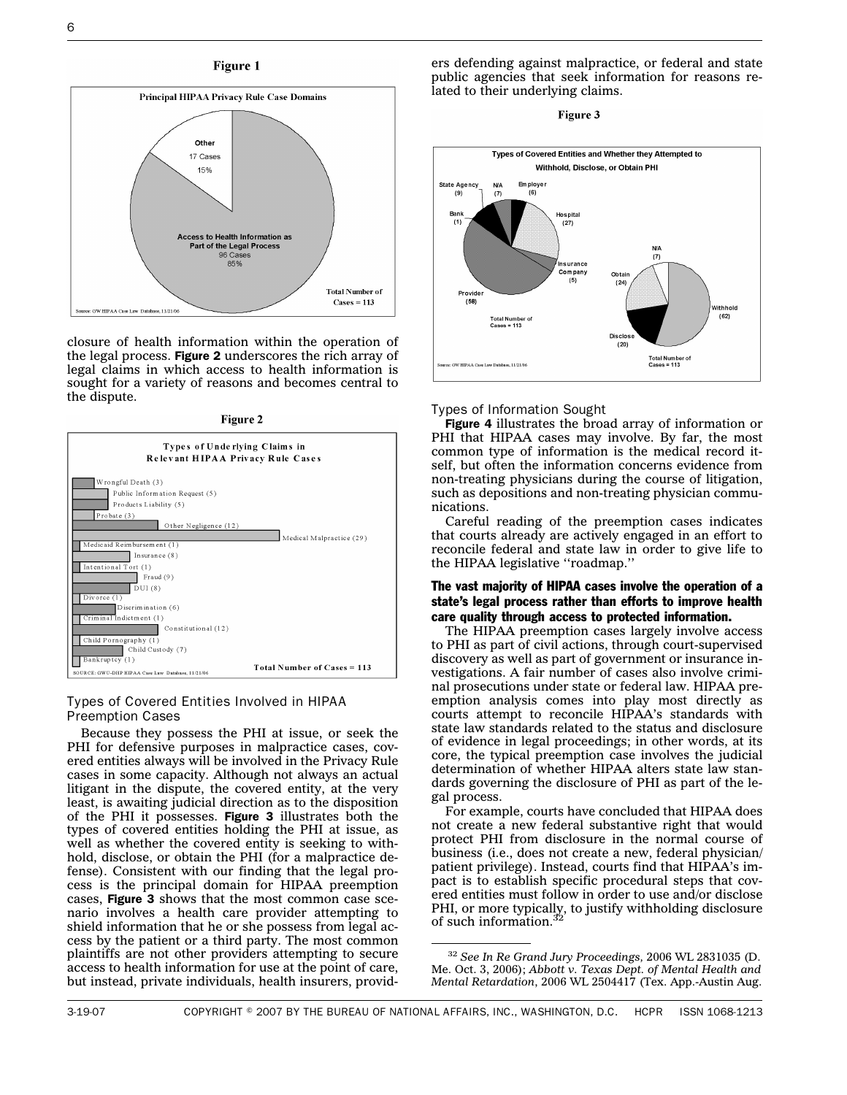



closure of health information within the operation of the legal process. Figure 2 underscores the rich array of legal claims in which access to health information is sought for a variety of reasons and becomes central to the dispute.

Figure 2



Types of Covered Entities Involved in HIPAA Preemption Cases

Because they possess the PHI at issue, or seek the PHI for defensive purposes in malpractice cases, covered entities always will be involved in the Privacy Rule cases in some capacity. Although not always an actual litigant in the dispute, the covered entity, at the very least, is awaiting judicial direction as to the disposition of the PHI it possesses. Figure 3 illustrates both the types of covered entities holding the PHI at issue, as well as whether the covered entity is seeking to withhold, disclose, or obtain the PHI (for a malpractice defense). Consistent with our finding that the legal process is the principal domain for HIPAA preemption cases, Figure 3 shows that the most common case scenario involves a health care provider attempting to shield information that he or she possess from legal access by the patient or a third party. The most common plaintiffs are not other providers attempting to secure access to health information for use at the point of care, but instead, private individuals, health insurers, providers defending against malpractice, or federal and state public agencies that seek information for reasons related to their underlying claims.

Figure 3



Types of Information Sought

Figure 4 illustrates the broad array of information or PHI that HIPAA cases may involve. By far, the most common type of information is the medical record itself, but often the information concerns evidence from non-treating physicians during the course of litigation, such as depositions and non-treating physician communications.

Careful reading of the preemption cases indicates that courts already are actively engaged in an effort to reconcile federal and state law in order to give life to the HIPAA legislative ''roadmap.''

## The vast majority of HIPAA cases involve the operation of a state's legal process rather than efforts to improve health care quality through access to protected information.

The HIPAA preemption cases largely involve access to PHI as part of civil actions, through court-supervised discovery as well as part of government or insurance investigations. A fair number of cases also involve criminal prosecutions under state or federal law. HIPAA preemption analysis comes into play most directly as courts attempt to reconcile HIPAA's standards with state law standards related to the status and disclosure of evidence in legal proceedings; in other words, at its core, the typical preemption case involves the judicial determination of whether HIPAA alters state law standards governing the disclosure of PHI as part of the legal process.

For example, courts have concluded that HIPAA does not create a new federal substantive right that would protect PHI from disclosure in the normal course of business (i.e., does not create a new, federal physician/ patient privilege). Instead, courts find that HIPAA's impact is to establish specific procedural steps that covered entities must follow in order to use and/or disclose PHI, or more typically, to justify withholding disclosure of such information.<sup>3</sup>

<sup>32</sup> *See In Re Grand Jury Proceedings,* 2006 WL 2831035 (D. Me. Oct. 3, 2006); *Abbott v. Texas Dept. of Mental Health and Mental Retardation*, 2006 WL 2504417 (Tex. App.-Austin Aug.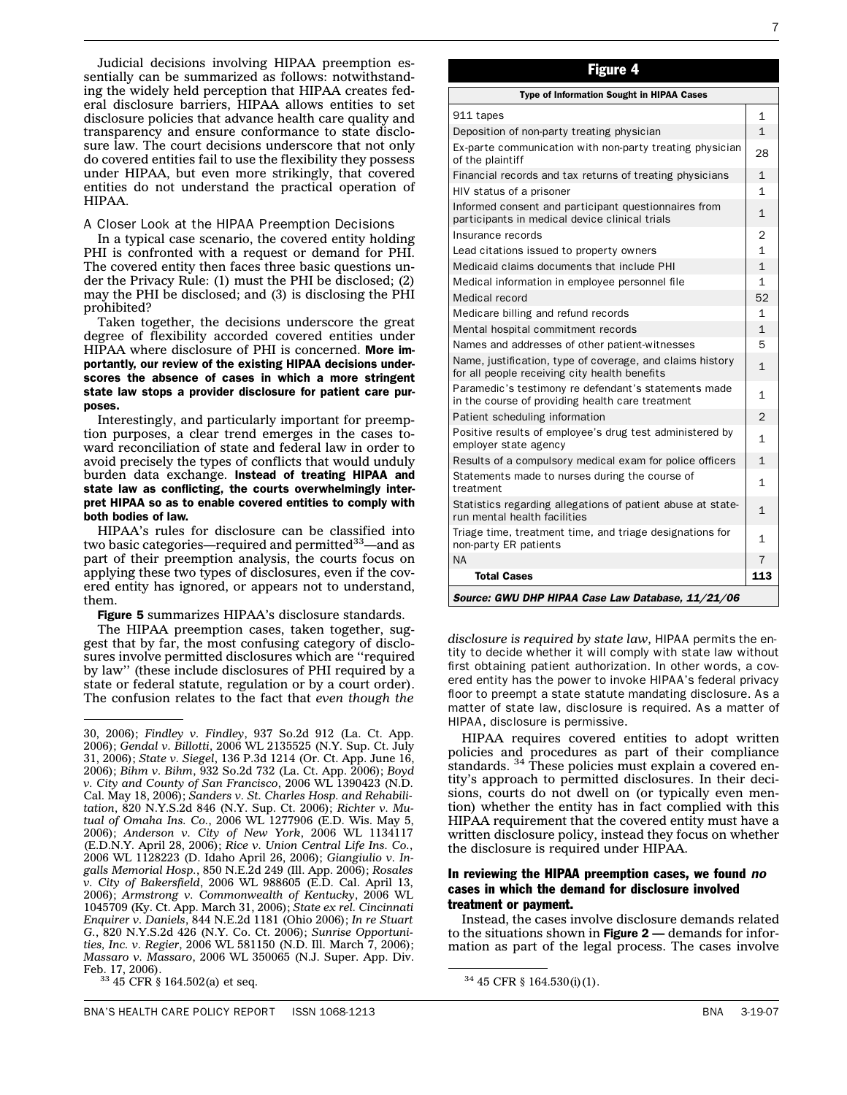Judicial decisions involving HIPAA preemption essentially can be summarized as follows: notwithstanding the widely held perception that HIPAA creates federal disclosure barriers, HIPAA allows entities to set disclosure policies that advance health care quality and transparency and ensure conformance to state disclosure law. The court decisions underscore that not only do covered entities fail to use the flexibility they possess under HIPAA, but even more strikingly, that covered entities do not understand the practical operation of HIPAA.

### A Closer Look at the HIPAA Preemption Decisions

In a typical case scenario, the covered entity holding PHI is confronted with a request or demand for PHI. The covered entity then faces three basic questions under the Privacy Rule: (1) must the PHI be disclosed; (2) may the PHI be disclosed; and (3) is disclosing the PHI prohibited?

Taken together, the decisions underscore the great degree of flexibility accorded covered entities under HIPAA where disclosure of PHI is concerned. More importantly, our review of the existing HIPAA decisions underscores the absence of cases in which a more stringent state law stops a provider disclosure for patient care purposes.

Interestingly, and particularly important for preemption purposes, a clear trend emerges in the cases toward reconciliation of state and federal law in order to avoid precisely the types of conflicts that would unduly burden data exchange. Instead of treating HIPAA and state law as conflicting, the courts overwhelmingly interpret HIPAA so as to enable covered entities to comply with both bodies of law.

HIPAA's rules for disclosure can be classified into two basic categories—required and permitted<sup>33</sup>—and as part of their preemption analysis, the courts focus on applying these two types of disclosures, even if the covered entity has ignored, or appears not to understand, them.

#### Figure 5 summarizes HIPAA's disclosure standards.

The HIPAA preemption cases, taken together, suggest that by far, the most confusing category of disclosures involve permitted disclosures which are ''required by law'' (these include disclosures of PHI required by a state or federal statute, regulation or by a court order). The confusion relates to the fact that *even though the*

# Figure 4

| Type of Information Sought in HIPAA Cases                                                                  |                |
|------------------------------------------------------------------------------------------------------------|----------------|
| 911 tapes                                                                                                  | $\mathbf{1}$   |
| Deposition of non-party treating physician                                                                 | $\overline{1}$ |
| Ex-parte communication with non-party treating physician<br>of the plaintiff                               | 28             |
| Financial records and tax returns of treating physicians                                                   | $\mathbf{1}$   |
| HIV status of a prisoner                                                                                   | 1              |
| Informed consent and participant questionnaires from<br>participants in medical device clinical trials     | $\mathbf 1$    |
| Insurance records                                                                                          | 2              |
| Lead citations issued to property owners                                                                   | 1              |
| Medicaid claims documents that include PHI                                                                 | $\overline{1}$ |
| Medical information in employee personnel file                                                             | $\mathbf{1}$   |
| Medical record                                                                                             | 52             |
| Medicare billing and refund records                                                                        | $\mathbf{1}$   |
| Mental hospital commitment records                                                                         | $\mathbf{1}$   |
| Names and addresses of other patient-witnesses                                                             | 5              |
| Name, justification, type of coverage, and claims history<br>for all people receiving city health benefits | $\mathbf 1$    |
| Paramedic's testimony re defendant's statements made<br>in the course of providing health care treatment   | $\mathbf{1}$   |
| Patient scheduling information                                                                             | $\overline{2}$ |
| Positive results of employee's drug test administered by<br>employer state agency                          | $\mathbf{1}$   |
| Results of a compulsory medical exam for police officers                                                   | $\mathbf{1}$   |
| Statements made to nurses during the course of<br>treatment                                                | $\mathbf{1}$   |
| Statistics regarding allegations of patient abuse at state-<br>run mental health facilities                | 1              |
| Triage time, treatment time, and triage designations for<br>non-party ER patients                          | $\mathbf{1}$   |
| <b>NA</b>                                                                                                  | 7              |
| <b>Total Cases</b>                                                                                         | 113            |
| Source: GWU DHP HIPAA Case Law Database. 11/21/06                                                          |                |

*disclosure is required by state law,* HIPAA permits the entity to decide whether it will comply with state law without first obtaining patient authorization. In other words, a covered entity has the power to invoke HIPAA's federal privacy floor to preempt a state statute mandating disclosure. As a

matter of state law, disclosure is required. As a matter of

HIPAA, disclosure is permissive. HIPAA requires covered entities to adopt written policies and procedures as part of their compliance<br>standards. <sup>34</sup> These policies must explain a covered entity's approach to permitted disclosures. In their decisions, courts do not dwell on (or typically even mention) whether the entity has in fact complied with this HIPAA requirement that the covered entity must have a written disclosure policy, instead they focus on whether the disclosure is required under HIPAA.

#### In reviewing the HIPAA preemption cases, we found *no* cases in which the demand for disclosure involved treatment or payment.

Instead, the cases involve disclosure demands related to the situations shown in Figure  $2$  — demands for information as part of the legal process. The cases involve

<sup>30, 2006);</sup> *Findley v. Findley*, 937 So.2d 912 (La. Ct. App. 2006); *Gendal v. Billotti*, 2006 WL 2135525 (N.Y. Sup. Ct. July 31, 2006); *State v. Siegel*, 136 P.3d 1214 (Or. Ct. App. June 16, 2006); *Bihm v. Bihm*, 932 So.2d 732 (La. Ct. App. 2006); *Boyd v. City and County of San Francisco*, 2006 WL 1390423 (N.D. Cal. May 18, 2006); *Sanders v. St. Charles Hosp. and Rehabilitation*, 820 N.Y.S.2d 846 (N.Y. Sup. Ct. 2006); *Richter v. Mutual of Omaha Ins. Co.*, 2006 WL 1277906 (E.D. Wis. May 5, 2006); *Anderson v. City of New York*, 2006 WL 1134117 (E.D.N.Y. April 28, 2006); *Rice v. Union Central Life Ins. Co.*, 2006 WL 1128223 (D. Idaho April 26, 2006); *Giangiulio v. Ingalls Memorial Hosp.*, 850 N.E.2d 249 (Ill. App. 2006); *Rosales v. City of Bakersfield*, 2006 WL 988605 (E.D. Cal. April 13, 2006); *Armstrong v. Commonwealth of Kentucky*, 2006 WL 1045709 (Ky. Ct. App. March 31, 2006); *State ex rel. Cincinnati Enquirer v. Daniels*, 844 N.E.2d 1181 (Ohio 2006); *In re Stuart G.*, 820 N.Y.S.2d 426 (N.Y. Co. Ct. 2006); *Sunrise Opportunities, Inc. v. Regier*, 2006 WL 581150 (N.D. Ill. March 7, 2006); *Massaro v. Massaro*, 2006 WL 350065 (N.J. Super. App. Div. Feb. 17, 2006). <sup>33</sup> 45 CFR § 164.502(a) et seq. <sup>34</sup> 45 CFR § 164.530(i)(1).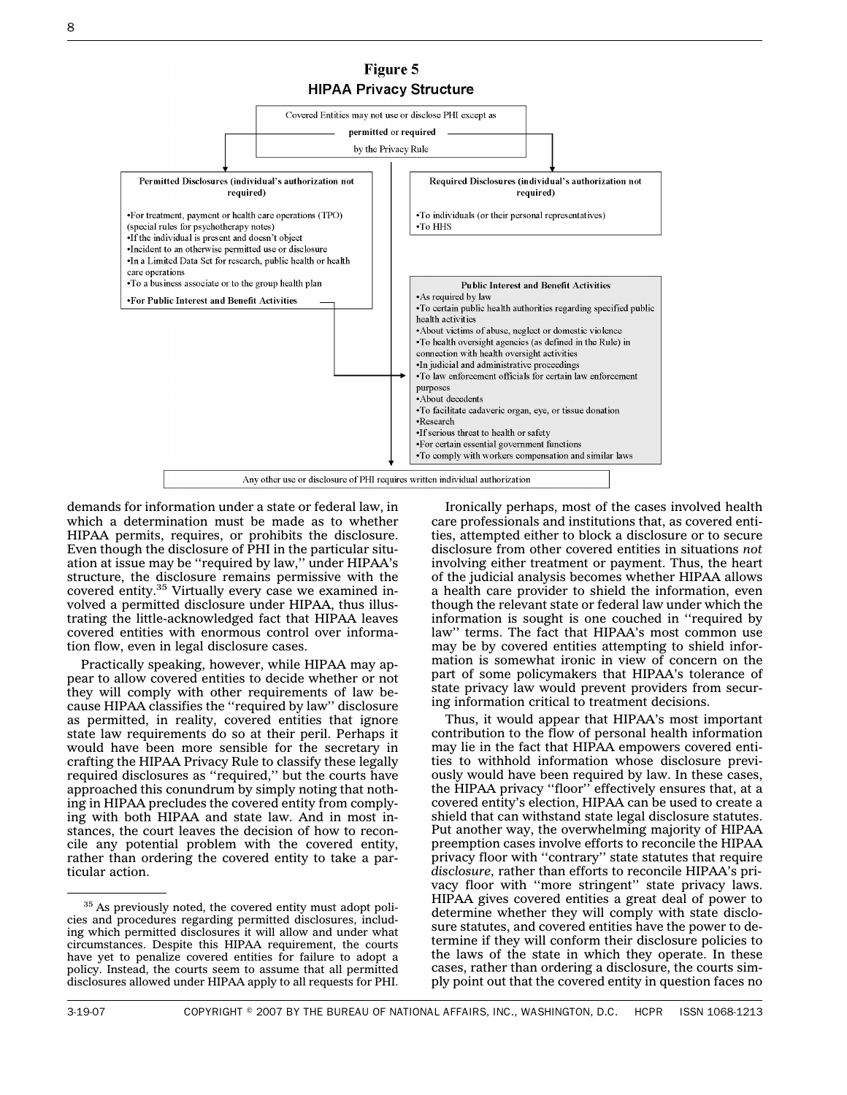

demands for information under a state or federal law, in which a determination must be made as to whether HIPAA permits, requires, or prohibits the disclosure. Even though the disclosure of PHI in the particular situation at issue may be ''required by law,'' under HIPAA's structure, the disclosure remains permissive with the covered entity.35 Virtually every case we examined involved a permitted disclosure under HIPAA, thus illustrating the little-acknowledged fact that HIPAA leaves covered entities with enormous control over information flow, even in legal disclosure cases.

Practically speaking, however, while HIPAA may appear to allow covered entities to decide whether or not they will comply with other requirements of law because HIPAA classifies the ''required by law'' disclosure as permitted, in reality, covered entities that ignore state law requirements do so at their peril. Perhaps it would have been more sensible for the secretary in crafting the HIPAA Privacy Rule to classify these legally required disclosures as ''required,'' but the courts have approached this conundrum by simply noting that nothing in HIPAA precludes the covered entity from complying with both HIPAA and state law. And in most instances, the court leaves the decision of how to reconcile any potential problem with the covered entity, rather than ordering the covered entity to take a particular action.

Ironically perhaps, most of the cases involved health care professionals and institutions that, as covered entities, attempted either to block a disclosure or to secure disclosure from other covered entities in situations *not* involving either treatment or payment. Thus, the heart of the judicial analysis becomes whether HIPAA allows a health care provider to shield the information, even though the relevant state or federal law under which the information is sought is one couched in ''required by law'' terms. The fact that HIPAA's most common use may be by covered entities attempting to shield information is somewhat ironic in view of concern on the part of some policymakers that HIPAA's tolerance of state privacy law would prevent providers from securing information critical to treatment decisions.

Thus, it would appear that HIPAA's most important contribution to the flow of personal health information may lie in the fact that HIPAA empowers covered entities to withhold information whose disclosure previously would have been required by law. In these cases, the HIPAA privacy ''floor'' effectively ensures that, at a covered entity's election, HIPAA can be used to create a shield that can withstand state legal disclosure statutes. Put another way, the overwhelming majority of HIPAA preemption cases involve efforts to reconcile the HIPAA privacy floor with ''contrary'' state statutes that require *disclosure,* rather than efforts to reconcile HIPAA's privacy floor with ''more stringent'' state privacy laws. HIPAA gives covered entities a great deal of power to determine whether they will comply with state disclosure statutes, and covered entities have the power to determine if they will conform their disclosure policies to the laws of the state in which they operate. In these cases, rather than ordering a disclosure, the courts simply point out that the covered entity in question faces no

<sup>&</sup>lt;sup>35</sup> As previously noted, the covered entity must adopt policies and procedures regarding permitted disclosures, including which permitted disclosures it will allow and under what circumstances. Despite this HIPAA requirement, the courts have yet to penalize covered entities for failure to adopt a policy. Instead, the courts seem to assume that all permitted disclosures allowed under HIPAA apply to all requests for PHI.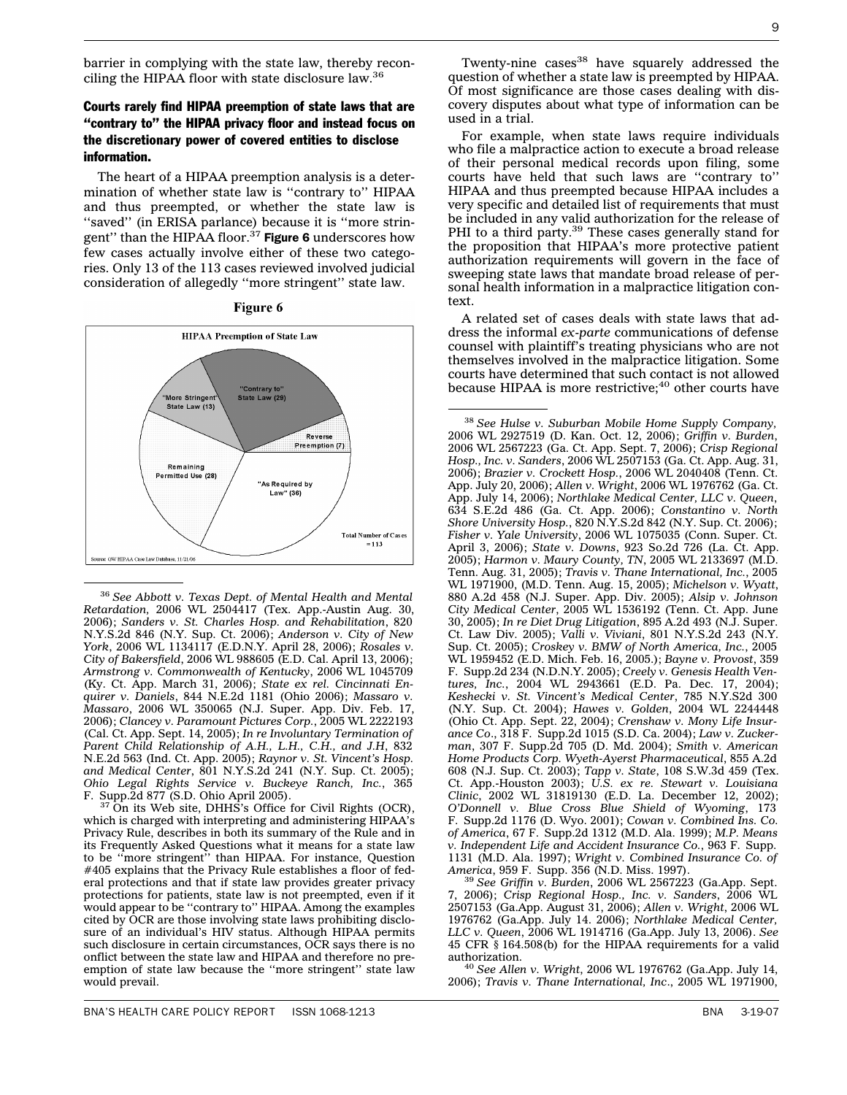barrier in complying with the state law, thereby reconciling the HIPAA floor with state disclosure law.36

## Courts rarely find HIPAA preemption of state laws that are ''contrary to'' the HIPAA privacy floor and instead focus on the discretionary power of covered entities to disclose information.

The heart of a HIPAA preemption analysis is a determination of whether state law is ''contrary to'' HIPAA and thus preempted, or whether the state law is "saved" (in ERISA parlance) because it is "more stringent" than the HIPAA floor.<sup>37</sup> Figure 6 underscores how few cases actually involve either of these two categories. Only 13 of the 113 cases reviewed involved judicial consideration of allegedly ''more stringent'' state law.





<sup>36</sup> *See Abbott v. Texas Dept. of Mental Health and Mental Retardation,* 2006 WL 2504417 (Tex. App.-Austin Aug. 30, 2006); *Sanders v. St. Charles Hosp. and Rehabilitation*, 820 N.Y.S.2d 846 (N.Y. Sup. Ct. 2006); *Anderson v. City of New York*, 2006 WL 1134117 (E.D.N.Y. April 28, 2006); *Rosales v. City of Bakersfield*, 2006 WL 988605 (E.D. Cal. April 13, 2006); *Armstrong v. Commonwealth of Kentucky*, 2006 WL 1045709 (Ky. Ct. App. March 31, 2006); *State ex rel. Cincinnati Enquirer v. Daniels*, 844 N.E.2d 1181 (Ohio 2006); *Massaro v. Massaro*, 2006 WL 350065 (N.J. Super. App. Div. Feb. 17, 2006); *Clancey v. Paramount Pictures Corp.*, 2005 WL 2222193 (Cal. Ct. App. Sept. 14, 2005); *In re Involuntary Termination of Parent Child Relationship of A.H., L.H., C.H., and J.H*, 832 N.E.2d 563 (Ind. Ct. App. 2005); *Raynor v. St. Vincent's Hosp. and Medical Center*, 801 N.Y.S.2d 241 (N.Y. Sup. Ct. 2005); *Ohio Legal Rights Service v. Buckeye Ranch, Inc.*, 365

<sup>37</sup> On its Web site, DHHS's Office for Civil Rights (OCR), which is charged with interpreting and administering HIPAA's Privacy Rule, describes in both its summary of the Rule and in its Frequently Asked Questions what it means for a state law to be ''more stringent'' than HIPAA. For instance, Question #405 explains that the Privacy Rule establishes a floor of federal protections and that if state law provides greater privacy protections for patients, state law is not preempted, even if it would appear to be ''contrary to'' HIPAA. Among the examples cited by OCR are those involving state laws prohibiting disclosure of an individual's HIV status. Although HIPAA permits such disclosure in certain circumstances, OCR says there is no onflict between the state law and HIPAA and therefore no preemption of state law because the ''more stringent'' state law would prevail.

Twenty-nine cases<sup>38</sup> have squarely addressed the question of whether a state law is preempted by HIPAA. Of most significance are those cases dealing with discovery disputes about what type of information can be used in a trial.

For example, when state laws require individuals who file a malpractice action to execute a broad release of their personal medical records upon filing, some courts have held that such laws are ''contrary to'' HIPAA and thus preempted because HIPAA includes a very specific and detailed list of requirements that must be included in any valid authorization for the release of PHI to a third party.<sup>39</sup> These cases generally stand for the proposition that HIPAA's more protective patient authorization requirements will govern in the face of sweeping state laws that mandate broad release of personal health information in a malpractice litigation context.

A related set of cases deals with state laws that address the informal *ex-parte* communications of defense counsel with plaintiff's treating physicians who are not themselves involved in the malpractice litigation. Some courts have determined that such contact is not allowed because HIPAA is more restrictive;<sup>40</sup> other courts have

<sup>38</sup> *See Hulse v. Suburban Mobile Home Supply Company,* 2006 WL 2927519 (D. Kan. Oct. 12, 2006); *Griffin v. Burden*, 2006 WL 2567223 (Ga. Ct. App. Sept. 7, 2006); *Crisp Regional Hosp., Inc. v. Sanders*, 2006 WL 2507153 (Ga. Ct. App. Aug. 31, 2006); *Brazier v. Crockett Hosp.*, 2006 WL 2040408 (Tenn. Ct. App. July 20, 2006); *Allen v. Wright*, 2006 WL 1976762 (Ga. Ct. App. July 14, 2006); *Northlake Medical Center, LLC v. Queen*, 634 S.E.2d 486 (Ga. Ct. App. 2006); *Constantino v. North Shore University Hosp.*, 820 N.Y.S.2d 842 (N.Y. Sup. Ct. 2006); *Fisher v. Yale University*, 2006 WL 1075035 (Conn. Super. Ct. April 3, 2006); *State v. Downs*, 923 So.2d 726 (La. Ct. App. 2005); *Harmon v. Maury County, TN*, 2005 WL 2133697 (M.D. Tenn. Aug. 31, 2005); *Travis v. Thane International, Inc.*, 2005 WL 1971900, (M.D. Tenn. Aug. 15, 2005); *Michelson v. Wyatt*, 880 A.2d 458 (N.J. Super. App. Div. 2005); *Alsip v. Johnson City Medical Center*, 2005 WL 1536192 (Tenn. Ct. App. June 30, 2005); *In re Diet Drug Litigation*, 895 A.2d 493 (N.J. Super. Ct. Law Div. 2005); *Valli v. Viviani*, 801 N.Y.S.2d 243 (N.Y. Sup. Ct. 2005); *Croskey v. BMW of North America, Inc.*, 2005 WL 1959452 (E.D. Mich. Feb. 16, 2005.); *Bayne v. Provost*, 359 F. Supp.2d 234 (N.D.N.Y. 2005); *Creely v. Genesis Health Ventures, Inc.*, 2004 WL 2943661 (E.D. Pa. Dec. 17, 2004); *Keshecki v. St. Vincent's Medical Center*, 785 N.Y.S2d 300 (N.Y. Sup. Ct. 2004); *Hawes v. Golden*, 2004 WL 2244448 (Ohio Ct. App. Sept. 22, 2004); *Crenshaw v. Mony Life Insurance Co*., 318 F. Supp.2d 1015 (S.D. Ca. 2004); *Law v. Zuckerman*, 307 F. Supp.2d 705 (D. Md. 2004); *Smith v. American Home Products Corp. Wyeth-Ayerst Pharmaceutical*, 855 A.2d 608 (N.J. Sup. Ct. 2003); *Tapp v. State*, 108 S.W.3d 459 (Tex. Ct. App.-Houston 2003); *U.S. ex re. Stewart v. Louisiana Clinic*, 2002 WL 31819130 (E.D. La. December 12, 2002); *O'Donnell v. Blue Cross Blue Shield of Wyoming*, 173 F. Supp.2d 1176 (D. Wyo. 2001); *Cowan v. Combined Ins. Co. of America*, 67 F. Supp.2d 1312 (M.D. Ala. 1999); *M.P. Means v. Independent Life and Accident Insurance Co.*, 963 F. Supp. 1131 (M.D. Ala. 1997); *Wright v. Combined Insurance Co. of America*, 959 F. Supp. 356 (N.D. Miss. 1997). <sup>39</sup> *See Griffin v. Burden*, 2006 WL 2567223 (Ga.App. Sept.

7, 2006); *Crisp Regional Hosp., Inc. v. Sanders*, 2006 WL 2507153 (Ga.App. August 31, 2006); *Allen v. Wright*, 2006 WL 1976762 (Ga.App. July 14. 2006); *Northlake Medical Center, LLC v. Queen*, 2006 WL 1914716 (Ga.App. July 13, 2006). *See* 45 CFR § 164.508(b) for the HIPAA requirements for a valid

authorization. <sup>40</sup> *See Allen v. Wright*, 2006 WL 1976762 (Ga.App. July 14, 2006); *Travis v. Thane International, Inc*., 2005 WL 1971900,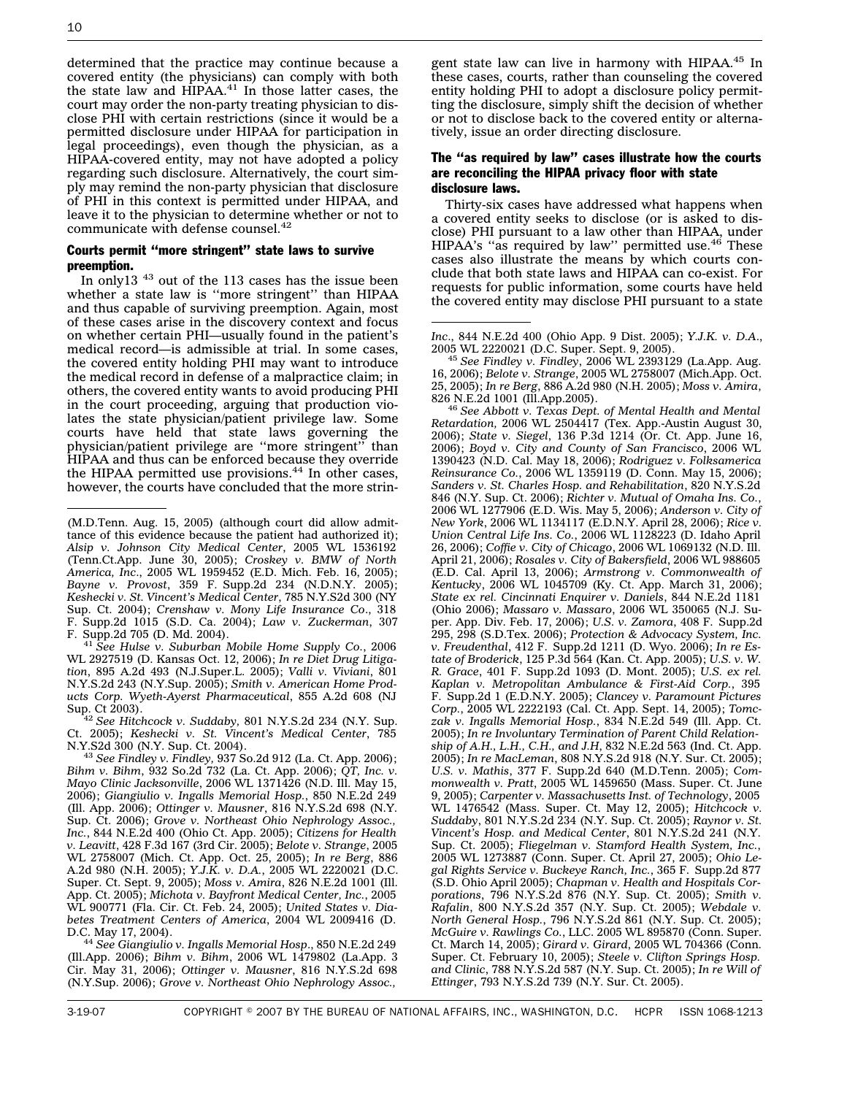determined that the practice may continue because a covered entity (the physicians) can comply with both the state law and  $HIPAA<sup>41</sup>$  In those latter cases, the court may order the non-party treating physician to disclose PHI with certain restrictions (since it would be a permitted disclosure under HIPAA for participation in legal proceedings), even though the physician, as a HIPAA-covered entity, may not have adopted a policy regarding such disclosure. Alternatively, the court simply may remind the non-party physician that disclosure of PHI in this context is permitted under HIPAA, and leave it to the physician to determine whether or not to communicate with defense counsel.<sup>42</sup>

## Courts permit ''more stringent'' state laws to survive preemption.

In only13 $43$  out of the 113 cases has the issue been whether a state law is ''more stringent'' than HIPAA and thus capable of surviving preemption. Again, most of these cases arise in the discovery context and focus on whether certain PHI—usually found in the patient's medical record—is admissible at trial. In some cases, the covered entity holding PHI may want to introduce the medical record in defense of a malpractice claim; in others, the covered entity wants to avoid producing PHI in the court proceeding, arguing that production violates the state physician/patient privilege law. Some courts have held that state laws governing the physician/patient privilege are ''more stringent'' than HIPAA and thus can be enforced because they override the HIPAA permitted use provisions. $44$  In other cases, however, the courts have concluded that the more strin-

WL 2927519 (D. Kansas Oct. 12, 2006); *In re Diet Drug Litigation*, 895 A.2d 493 (N.J.Super.L. 2005); *Valli v. Viviani*, 801 N.Y.S.2d 243 (N.Y.Sup. 2005); *Smith v. American Home Products Corp. Wyeth-Ayerst Pharmaceutical*, 855 A.2d 608 (NJ

Sup. Ct 2003). <sup>42</sup> *See Hitchcock v. Suddaby,* 801 N.Y.S.2d 234 (N.Y. Sup. Ct. 2005); *Keshecki v. St. Vincent's Medical Center*, 785

N.Y.S2d 300 (N.Y. Sup. Ct. 2004). <sup>43</sup> *See Findley v. Findley,* 937 So.2d 912 (La. Ct. App. 2006); *Bihm v. Bihm*, 932 So.2d 732 (La. Ct. App. 2006); *QT, Inc. v. Mayo Clinic Jacksonville*, 2006 WL 1371426 (N.D. Ill. May 15, 2006); *Giangiulio v. Ingalls Memorial Hosp.*, 850 N.E.2d 249 (Ill. App. 2006); *Ottinger v. Mausner*, 816 N.Y.S.2d 698 (N.Y. Sup. Ct. 2006); *Grove v. Northeast Ohio Nephrology Assoc., Inc.*, 844 N.E.2d 400 (Ohio Ct. App. 2005); *Citizens for Health v. Leavitt*, 428 F.3d 167 (3rd Cir. 2005); *Belote v. Strange*, 2005 WL 2758007 (Mich. Ct. App. Oct. 25, 2005); *In re Berg*, 886 A.2d 980 (N.H. 2005); *Y.J.K. v. D.A.*, 2005 WL 2220021 (D.C. Super. Ct. Sept. 9, 2005); *Moss v. Amira*, 826 N.E.2d 1001 (Ill. App. Ct. 2005); *Michota v. Bayfront Medical Center, Inc.*, 2005 WL 900771 (Fla. Cir. Ct. Feb. 24, 2005); *United States v. Diabetes Treatment Centers of America*, 2004 WL 2009416 (D. D.C. May 17, 2004). <sup>44</sup> *See Giangiulio v. Ingalls Memorial Hosp*., 850 N.E.2d 249

(Ill.App. 2006); *Bihm v. Bihm*, 2006 WL 1479802 (La.App. 3 Cir. May 31, 2006); *Ottinger v. Mausner*, 816 N.Y.S.2d 698 (N.Y.Sup. 2006); *Grove v. Northeast Ohio Nephrology Assoc.,*

gent state law can live in harmony with HIPAA.45 In these cases, courts, rather than counseling the covered entity holding PHI to adopt a disclosure policy permitting the disclosure, simply shift the decision of whether or not to disclose back to the covered entity or alternatively, issue an order directing disclosure.

## The ''as required by law'' cases illustrate how the courts are reconciling the HIPAA privacy floor with state disclosure laws.

Thirty-six cases have addressed what happens when a covered entity seeks to disclose (or is asked to disclose) PHI pursuant to a law other than HIPAA, under HIPAA's "as required by law" permitted use.<sup>46</sup> These cases also illustrate the means by which courts conclude that both state laws and HIPAA can co-exist. For requests for public information, some courts have held the covered entity may disclose PHI pursuant to a state

<sup>46</sup> See Abbott v. Texas Dept. of Mental Health and Mental *Retardation,* 2006 WL 2504417 (Tex. App.-Austin August 30, 2006); *State v. Siegel*, 136 P.3d 1214 (Or. Ct. App. June 16, 2006); *Boyd v. City and County of San Francisco*, 2006 WL 1390423 (N.D. Cal. May 18, 2006); *Rodriguez v. Folksamerica Reinsurance Co.*, 2006 WL 1359119 (D. Conn. May 15, 2006); *Sanders v. St. Charles Hosp. and Rehabilitation*, 820 N.Y.S.2d 846 (N.Y. Sup. Ct. 2006); *Richter v. Mutual of Omaha Ins. Co.*, 2006 WL 1277906 (E.D. Wis. May 5, 2006); *Anderson v. City of New York*, 2006 WL 1134117 (E.D.N.Y. April 28, 2006); *Rice v. Union Central Life Ins. Co.*, 2006 WL 1128223 (D. Idaho April 26, 2006); *Coffie v. City of Chicago*, 2006 WL 1069132 (N.D. Ill. April 21, 2006); *Rosales v. City of Bakersfield*, 2006 WL 988605 (E.D. Cal. April 13, 2006); *Armstrong v. Commonwealth of Kentucky*, 2006 WL 1045709 (Ky. Ct. App. March 31, 2006); *State ex rel. Cincinnati Enquirer v. Daniels*, 844 N.E.2d 1181 (Ohio 2006); *Massaro v. Massaro*, 2006 WL 350065 (N.J. Super. App. Div. Feb. 17, 2006); *U.S. v. Zamora*, 408 F. Supp.2d 295, 298 (S.D.Tex. 2006); *Protection & Advocacy System, Inc. v. Freudenthal*, 412 F. Supp.2d 1211 (D. Wyo. 2006); *In re Estate of Broderick*, 125 P.3d 564 (Kan. Ct. App. 2005); *U.S. v. W. R. Grace*, 401 F. Supp.2d 1093 (D. Mont. 2005); *U.S. ex rel. Kaplan v. Metropolitan Ambulance & First-Aid Corp.*, 395 F. Supp.2d 1 (E.D.N.Y. 2005); *Clancey v. Paramount Pictures Corp.*, 2005 WL 2222193 (Cal. Ct. App. Sept. 14, 2005); *Tomczak v. Ingalls Memorial Hosp.*, 834 N.E.2d 549 (Ill. App. Ct. 2005); *In re Involuntary Termination of Parent Child Relationship of A.H., L.H., C.H., and J.H*, 832 N.E.2d 563 (Ind. Ct. App. 2005); *In re MacLeman*, 808 N.Y.S.2d 918 (N.Y. Sur. Ct. 2005); *U.S. v. Mathis*, 377 F. Supp.2d 640 (M.D.Tenn. 2005); *Commonwealth v. Pratt*, 2005 WL 1459650 (Mass. Super. Ct. June 9, 2005); *Carpenter v. Massachusetts Inst. of Technology*, 2005 WL 1476542 (Mass. Super. Ct. May 12, 2005); *Hitchcock v. Suddaby*, 801 N.Y.S.2d 234 (N.Y. Sup. Ct. 2005); *Raynor v. St. Vincent's Hosp. and Medical Center*, 801 N.Y.S.2d 241 (N.Y. Sup. Ct. 2005); *Fliegelman v. Stamford Health System, Inc.*, 2005 WL 1273887 (Conn. Super. Ct. April 27, 2005); *Ohio Legal Rights Service v. Buckeye Ranch, Inc.*, 365 F. Supp.2d 877 (S.D. Ohio April 2005); *Chapman v. Health and Hospitals Corporations*, 796 N.Y.S.2d 876 (N.Y. Sup. Ct. 2005); *Smith v. Rafalin*, 800 N.Y.S.2d 357 (N.Y. Sup. Ct. 2005); *Webdale v. North General Hosp.*, 796 N.Y.S.2d 861 (N.Y. Sup. Ct. 2005); *McGuire v. Rawlings Co.*, LLC. 2005 WL 895870 (Conn. Super. Ct. March 14, 2005); *Girard v. Girard*, 2005 WL 704366 (Conn. Super. Ct. February 10, 2005); *Steele v. Clifton Springs Hosp. and Clinic*, 788 N.Y.S.2d 587 (N.Y. Sup. Ct. 2005); *In re Will of Ettinger*, 793 N.Y.S.2d 739 (N.Y. Sur. Ct. 2005).

<sup>(</sup>M.D.Tenn. Aug. 15, 2005) (although court did allow admittance of this evidence because the patient had authorized it); *Alsip v. Johnson City Medical Center*, 2005 WL 1536192 (Tenn.Ct.App. June 30, 2005); *Croskey v. BMW of North America, Inc*., 2005 WL 1959452 (E.D. Mich. Feb. 16, 2005); *Bayne v. Provost*, 359 F. Supp.2d 234 (N.D.N.Y. 2005); *Keshecki v. St. Vincent's Medical Center*, 785 N.Y.S2d 300 (NY Sup. Ct. 2004); *Crenshaw v. Mony Life Insurance Co*., 318 F. Supp.2d 1015 (S.D. Ca. 2004); *Law v. Zuckerman*, 307 F. Supp.2d 705 (D. Md. 2004). <sup>41</sup> *See Hulse v. Suburban Mobile Home Supply Co.*, 2006

*Inc*., 844 N.E.2d 400 (Ohio App. 9 Dist. 2005); *Y.J.K. v. D.A*.,

<sup>&</sup>lt;sup>45</sup> See Findley v. Findley, 2006 WL 2393129 (La.App. Aug. 16, 2006); *Belote v. Strange*, 2005 WL 2758007 (Mich.App. Oct. 25, 2005); *In re Berg*, 886 A.2d 980 (N.H. 2005); *Moss v. Amira*,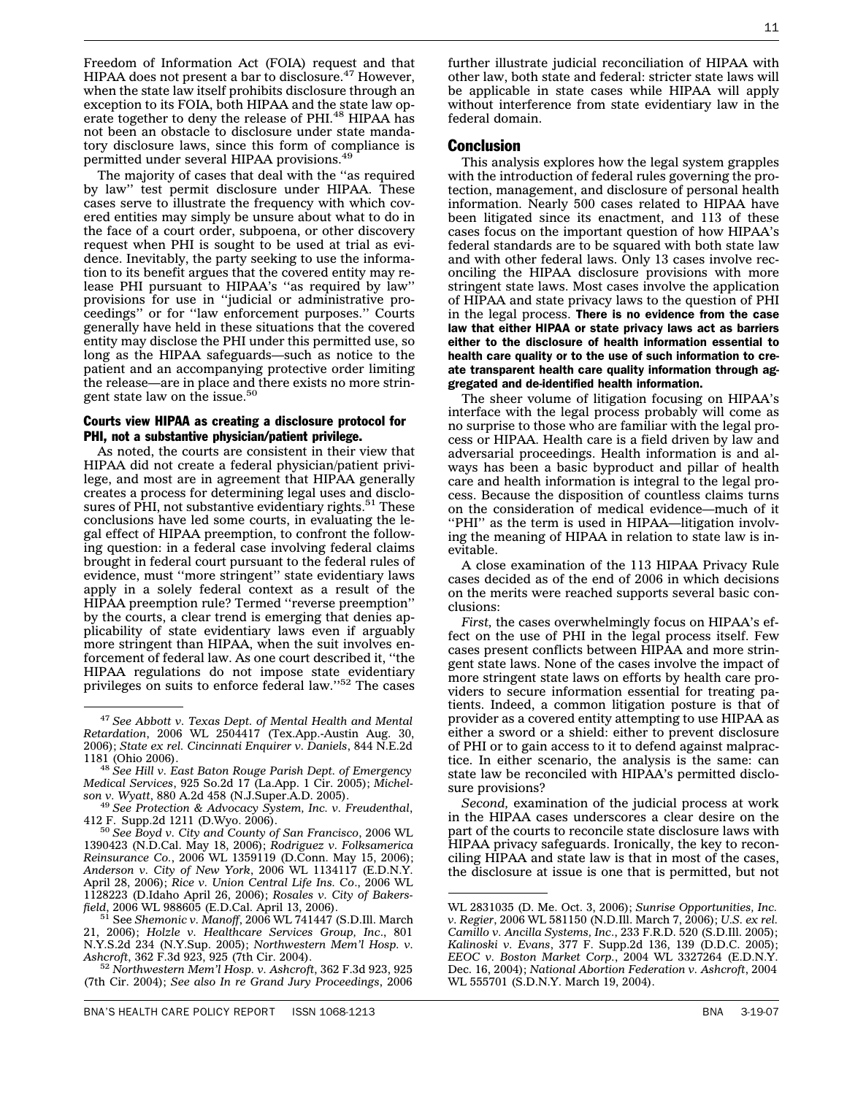Freedom of Information Act (FOIA) request and that HIPAA does not present a bar to disclosure.<sup>47</sup> However, when the state law itself prohibits disclosure through an exception to its FOIA, both HIPAA and the state law operate together to deny the release of PHI.<sup>48</sup> HIPAA has not been an obstacle to disclosure under state mandatory disclosure laws, since this form of compliance is permitted under several HIPAA provisions.49

The majority of cases that deal with the ''as required by law'' test permit disclosure under HIPAA. These cases serve to illustrate the frequency with which covered entities may simply be unsure about what to do in the face of a court order, subpoena, or other discovery request when PHI is sought to be used at trial as evidence. Inevitably, the party seeking to use the information to its benefit argues that the covered entity may release PHI pursuant to HIPAA's ''as required by law'' provisions for use in ''judicial or administrative proceedings'' or for ''law enforcement purposes.'' Courts generally have held in these situations that the covered entity may disclose the PHI under this permitted use, so long as the HIPAA safeguards—such as notice to the patient and an accompanying protective order limiting the release—are in place and there exists no more stringent state law on the issue.<sup>50</sup>

## Courts view HIPAA as creating a disclosure protocol for PHI, not a substantive physician/patient privilege.

As noted, the courts are consistent in their view that HIPAA did not create a federal physician/patient privilege, and most are in agreement that HIPAA generally creates a process for determining legal uses and disclosures of PHI, not substantive evidentiary rights.<sup>51</sup> These conclusions have led some courts, in evaluating the legal effect of HIPAA preemption, to confront the following question: in a federal case involving federal claims brought in federal court pursuant to the federal rules of evidence, must ''more stringent'' state evidentiary laws apply in a solely federal context as a result of the HIPAA preemption rule? Termed ''reverse preemption'' by the courts, a clear trend is emerging that denies applicability of state evidentiary laws even if arguably more stringent than HIPAA, when the suit involves enforcement of federal law. As one court described it, ''the HIPAA regulations do not impose state evidentiary privileges on suits to enforce federal law.''52 The cases

further illustrate judicial reconciliation of HIPAA with other law, both state and federal: stricter state laws will be applicable in state cases while HIPAA will apply without interference from state evidentiary law in the federal domain.

## Conclusion

This analysis explores how the legal system grapples with the introduction of federal rules governing the protection, management, and disclosure of personal health information. Nearly 500 cases related to HIPAA have been litigated since its enactment, and 113 of these cases focus on the important question of how HIPAA's federal standards are to be squared with both state law and with other federal laws. Only 13 cases involve reconciling the HIPAA disclosure provisions with more stringent state laws. Most cases involve the application of HIPAA and state privacy laws to the question of PHI in the legal process. There is no evidence from the case law that either HIPAA or state privacy laws act as barriers either to the disclosure of health information essential to health care quality or to the use of such information to create transparent health care quality information through aggregated and de-identified health information.

The sheer volume of litigation focusing on HIPAA's interface with the legal process probably will come as no surprise to those who are familiar with the legal process or HIPAA. Health care is a field driven by law and adversarial proceedings. Health information is and always has been a basic byproduct and pillar of health care and health information is integral to the legal process. Because the disposition of countless claims turns on the consideration of medical evidence—much of it ''PHI'' as the term is used in HIPAA—litigation involving the meaning of HIPAA in relation to state law is inevitable.

A close examination of the 113 HIPAA Privacy Rule cases decided as of the end of 2006 in which decisions on the merits were reached supports several basic conclusions:

*First,* the cases overwhelmingly focus on HIPAA's effect on the use of PHI in the legal process itself. Few cases present conflicts between HIPAA and more stringent state laws. None of the cases involve the impact of more stringent state laws on efforts by health care providers to secure information essential for treating patients. Indeed, a common litigation posture is that of provider as a covered entity attempting to use HIPAA as either a sword or a shield: either to prevent disclosure of PHI or to gain access to it to defend against malpractice. In either scenario, the analysis is the same: can state law be reconciled with HIPAA's permitted disclosure provisions?

*Second,* examination of the judicial process at work in the HIPAA cases underscores a clear desire on the part of the courts to reconcile state disclosure laws with HIPAA privacy safeguards. Ironically, the key to reconciling HIPAA and state law is that in most of the cases, the disclosure at issue is one that is permitted, but not

<sup>47</sup> *See Abbott v. Texas Dept. of Mental Health and Mental Retardation*, 2006 WL 2504417 (Tex.App.-Austin Aug. 30, 2006); *State ex rel. Cincinnati Enquirer v. Daniels*, 844 N.E.2d

<sup>&</sup>lt;sup>48</sup> See Hill v. East Baton Rouge Parish Dept. of Emergency *Medical Services*, 925 So.2d 17 (La.App. 1 Cir. 2005); *Michel-*

<sup>&</sup>lt;sup>49</sup> See Protection & Advocacy System, Inc. v. Freudenthal, 412 F. Supp.2d 1211 (D.Wyo. 2006).

<sup>&</sup>lt;sup>50</sup> See Boyd v. City and County of San Francisco, 2006 WL 1390423 (N.D.Cal. May 18, 2006); *Rodriguez v. Folksamerica Reinsurance Co.*, 2006 WL 1359119 (D.Conn. May 15, 2006); *Anderson v. City of New York*, 2006 WL 1134117 (E.D.N.Y. April 28, 2006); *Rice v. Union Central Life Ins. Co*., 2006 WL 1128223 (D.Idaho April 26, 2006); *Rosales v. City of Bakersfield*, 2006 WL 988605 (E.D.Cal. April 13, 2006).

<sup>51</sup> See *Shemonic v. Manoff*, 2006 WL 741447 (S.D.Ill. March 21, 2006); *Holzle v. Healthcare Services Group, Inc*., 801 N.Y.S.2d 234 (N.Y.Sup. 2005); *Northwestern Mem'l Hosp. v.*

*Ashcroft*, 362 F.3d 923, 925 (7th Cir. 2004). <sup>52</sup> *Northwestern Mem'l Hosp. v. Ashcroft*, 362 F.3d 923, 925 (7th Cir. 2004); *See also In re Grand Jury Proceedings*, 2006

WL 2831035 (D. Me. Oct. 3, 2006); *Sunrise Opportunities, Inc. v. Regier*, 2006 WL 581150 (N.D.Ill. March 7, 2006); *U.S. ex rel. Camillo v. Ancilla Systems, Inc*., 233 F.R.D. 520 (S.D.Ill. 2005); *Kalinoski v. Evans*, 377 F. Supp.2d 136, 139 (D.D.C. 2005); *EEOC v. Boston Market Corp.*, 2004 WL 3327264 (E.D.N.Y. Dec. 16, 2004); *National Abortion Federation v. Ashcroft*, 2004 WL 555701 (S.D.N.Y. March 19, 2004).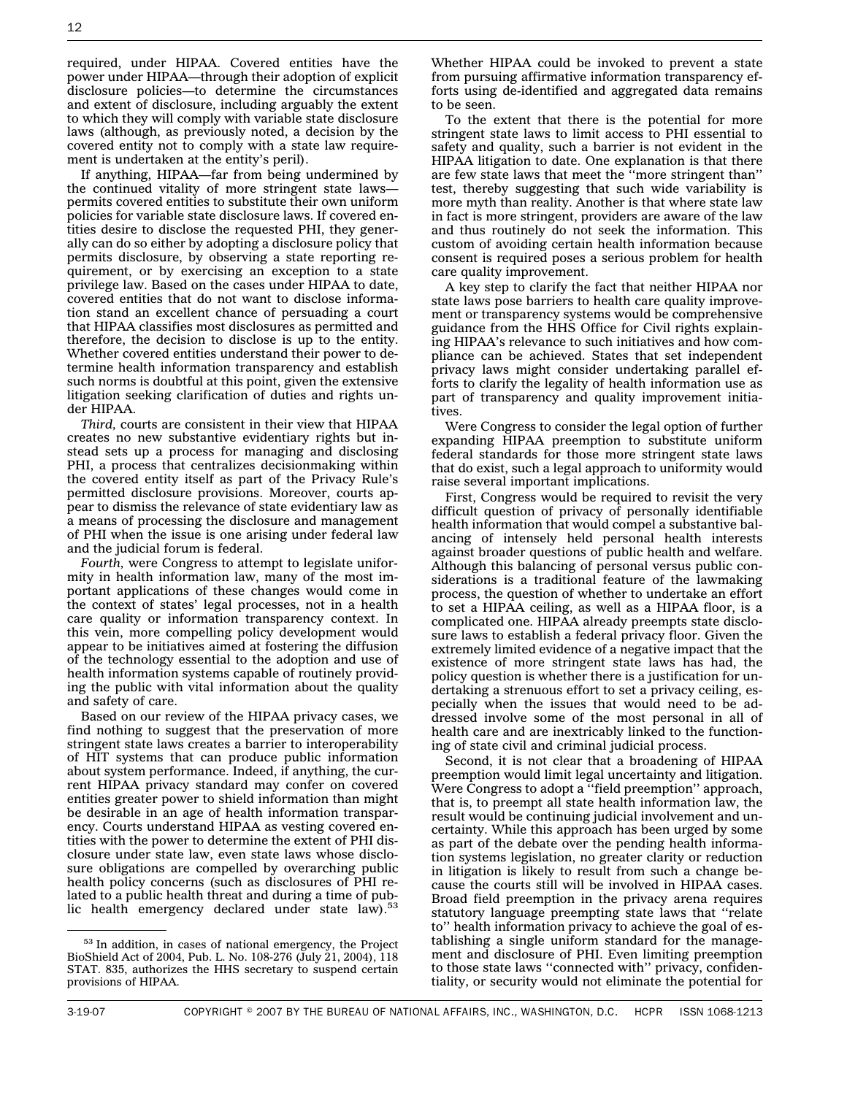required, under HIPAA. Covered entities have the power under HIPAA—through their adoption of explicit disclosure policies—to determine the circumstances and extent of disclosure, including arguably the extent to which they will comply with variable state disclosure laws (although, as previously noted, a decision by the covered entity not to comply with a state law requirement is undertaken at the entity's peril).

If anything, HIPAA—far from being undermined by the continued vitality of more stringent state laws permits covered entities to substitute their own uniform policies for variable state disclosure laws. If covered entities desire to disclose the requested PHI, they generally can do so either by adopting a disclosure policy that permits disclosure, by observing a state reporting requirement, or by exercising an exception to a state privilege law. Based on the cases under HIPAA to date, covered entities that do not want to disclose information stand an excellent chance of persuading a court that HIPAA classifies most disclosures as permitted and therefore, the decision to disclose is up to the entity. Whether covered entities understand their power to determine health information transparency and establish such norms is doubtful at this point, given the extensive litigation seeking clarification of duties and rights under HIPAA.

*Third,* courts are consistent in their view that HIPAA creates no new substantive evidentiary rights but instead sets up a process for managing and disclosing PHI, a process that centralizes decisionmaking within the covered entity itself as part of the Privacy Rule's permitted disclosure provisions. Moreover, courts appear to dismiss the relevance of state evidentiary law as a means of processing the disclosure and management of PHI when the issue is one arising under federal law and the judicial forum is federal.

*Fourth,* were Congress to attempt to legislate uniformity in health information law, many of the most important applications of these changes would come in the context of states' legal processes, not in a health care quality or information transparency context. In this vein, more compelling policy development would appear to be initiatives aimed at fostering the diffusion of the technology essential to the adoption and use of health information systems capable of routinely providing the public with vital information about the quality and safety of care.

Based on our review of the HIPAA privacy cases, we find nothing to suggest that the preservation of more stringent state laws creates a barrier to interoperability of HIT systems that can produce public information about system performance. Indeed, if anything, the current HIPAA privacy standard may confer on covered entities greater power to shield information than might be desirable in an age of health information transparency. Courts understand HIPAA as vesting covered entities with the power to determine the extent of PHI disclosure under state law, even state laws whose disclosure obligations are compelled by overarching public health policy concerns (such as disclosures of PHI related to a public health threat and during a time of public health emergency declared under state law).<sup>53</sup> Whether HIPAA could be invoked to prevent a state from pursuing affirmative information transparency efforts using de-identified and aggregated data remains to be seen.

To the extent that there is the potential for more stringent state laws to limit access to PHI essential to safety and quality, such a barrier is not evident in the HIPAA litigation to date. One explanation is that there are few state laws that meet the ''more stringent than'' test, thereby suggesting that such wide variability is more myth than reality. Another is that where state law in fact is more stringent, providers are aware of the law and thus routinely do not seek the information. This custom of avoiding certain health information because consent is required poses a serious problem for health care quality improvement.

A key step to clarify the fact that neither HIPAA nor state laws pose barriers to health care quality improvement or transparency systems would be comprehensive guidance from the HHS Office for Civil rights explaining HIPAA's relevance to such initiatives and how compliance can be achieved. States that set independent privacy laws might consider undertaking parallel efforts to clarify the legality of health information use as part of transparency and quality improvement initiatives.

Were Congress to consider the legal option of further expanding HIPAA preemption to substitute uniform federal standards for those more stringent state laws that do exist, such a legal approach to uniformity would raise several important implications.

First, Congress would be required to revisit the very difficult question of privacy of personally identifiable health information that would compel a substantive balancing of intensely held personal health interests against broader questions of public health and welfare. Although this balancing of personal versus public considerations is a traditional feature of the lawmaking process, the question of whether to undertake an effort to set a HIPAA ceiling, as well as a HIPAA floor, is a complicated one. HIPAA already preempts state disclosure laws to establish a federal privacy floor. Given the extremely limited evidence of a negative impact that the existence of more stringent state laws has had, the policy question is whether there is a justification for undertaking a strenuous effort to set a privacy ceiling, especially when the issues that would need to be addressed involve some of the most personal in all of health care and are inextricably linked to the functioning of state civil and criminal judicial process.

Second, it is not clear that a broadening of HIPAA preemption would limit legal uncertainty and litigation. Were Congress to adopt a ''field preemption'' approach, that is, to preempt all state health information law, the result would be continuing judicial involvement and uncertainty. While this approach has been urged by some as part of the debate over the pending health information systems legislation, no greater clarity or reduction in litigation is likely to result from such a change because the courts still will be involved in HIPAA cases. Broad field preemption in the privacy arena requires statutory language preempting state laws that ''relate to'' health information privacy to achieve the goal of establishing a single uniform standard for the management and disclosure of PHI. Even limiting preemption to those state laws ''connected with'' privacy, confidentiality, or security would not eliminate the potential for

<sup>&</sup>lt;sup>53</sup> In addition, in cases of national emergency, the Project BioShield Act of 2004, Pub. L. No. 108-276 (July 21, 2004), 118 STAT. 835, authorizes the HHS secretary to suspend certain provisions of HIPAA.